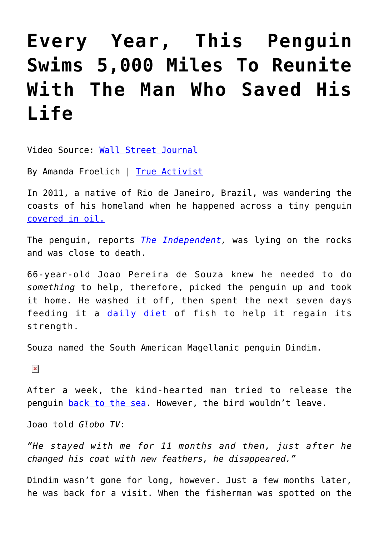## **[Every Year, This Penguin](https://consciouslifenews.com/every-year-penguin-swims-5000-miles-reunite-man-saved-life/11115500/) [Swims 5,000 Miles To Reunite](https://consciouslifenews.com/every-year-penguin-swims-5000-miles-reunite-man-saved-life/11115500/) [With The Man Who Saved His](https://consciouslifenews.com/every-year-penguin-swims-5000-miles-reunite-man-saved-life/11115500/) [Life](https://consciouslifenews.com/every-year-penguin-swims-5000-miles-reunite-man-saved-life/11115500/)**

Video Source: [Wall Street Journal](https://www.youtube.com/channel/UCK7tptUDHh-RYDsdxO1-5QQ)

By Amanda Froelich | [True Activist](https://www.trueactivist.com/every-year-this-penguin-swims-5000-miles-to-reunite-with-the-man-who-saved-his-life/)

In 2011, a native of Rio de Janeiro, Brazil, was wandering the coasts of his homeland when he happened across a tiny penguin [covered in oil.](https://www.trueactivist.com/scientists-invent-revolutionary-material-to-clean-up-oil-spills/)

The penguin, reports *[The Independent,](https://www.independent.co.uk/news/world/americas/meet-dindim-the-penguin-who-returns-to-his-human-soulmate-every-year-a6917621.html)* was lying on the rocks and was close to death.

66-year-old Joao Pereira de Souza knew he needed to do *something* to help, therefore, picked the penguin up and took it home. He washed it off, then spent the next seven days feeding it a [daily diet](https://www.trueactivist.com/australias-oldest-man-knits-sweaters-for-penguins-affected-by-oil-spills/) of fish to help it regain its strength.

Souza named the South American Magellanic penguin Dindim.

 $\pmb{\times}$ 

After a week, the kind-hearted man tried to release the penguin [back to the sea](https://www.trueactivist.com/study-shows-that-the-chemical-used-to-clean-up-bp-oil-spill-is-completely-toxic/). However, the bird wouldn't leave.

Joao told *Globo TV*:

*"He stayed with me for 11 months and then, just after he changed his coat with new feathers, he disappeared."*

Dindim wasn't gone for long, however. Just a few months later, he was back for a visit. When the fisherman was spotted on the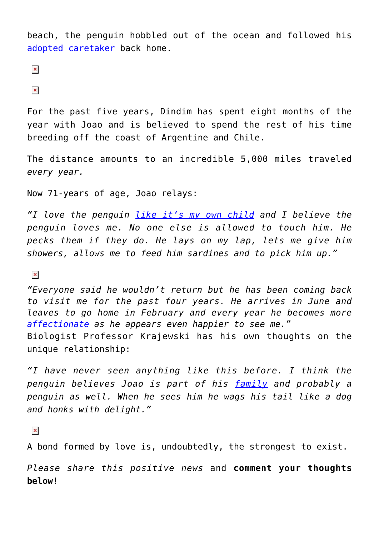beach, the penguin hobbled out of the ocean and followed his [adopted caretaker](https://www.trueactivist.com/shock-report-your-taxes-subsidize-dirty-oil-corporations-by-5-3-trillion/) back home.

 $\pmb{\times}$ 

 $\pmb{\times}$ 

For the past five years, Dindim has spent eight months of the year with Joao and is believed to spend the rest of his time breeding off the coast of Argentine and Chile.

The distance amounts to an incredible 5,000 miles traveled *every year.*

Now 71-years of age, Joao relays:

*"I love the penguin [like it's my own child](https://www.trueactivist.com/study-reveals-that-oil-dispersants-used-to-clean-up-bp-spill-actually-made-the-problem-worse/) and I believe the penguin loves me. No one else is allowed to touch him. He pecks them if they do. He lays on my lap, lets me give him showers, allows me to feed him sardines and to pick him up."*

 $\pmb{\times}$ 

*"Everyone said he wouldn't return but he has been coming back to visit me for the past four years. He arrives in June and leaves to go home in February and every year he becomes more [affectionate](https://www.trueactivist.com/uk-woman-quit-her-job-to-knit-abandoned-greyhounds-sweaters-and-couldnt-be-happier/) as he appears even happier to see me."* Biologist Professor Krajewski has his own thoughts on the unique relationship:

*"I have never seen anything like this before. I think the penguin believes Joao is part of his [family](https://www.trueactivist.com/10000-gallons-of-oil-spill-onto-streets-of-los-angeles-from-ruptured-pipeline/) and probably a penguin as well. When he sees him he wags his tail like a dog and honks with delight."*

 $\pmb{\times}$ 

A bond formed by love is, undoubtedly, the strongest to exist.

*Please share this positive news* and **comment your thoughts below!**